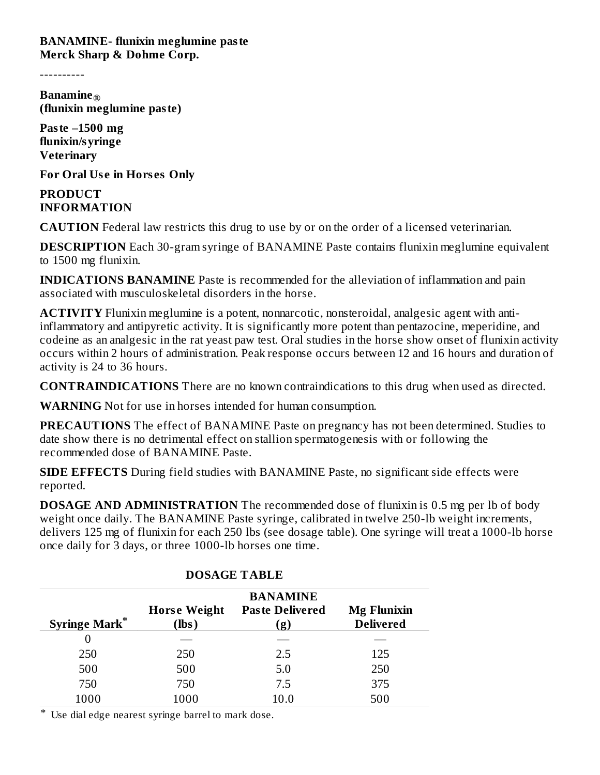**BANAMINE- flunixin meglumine paste Merck Sharp & Dohme Corp.**

----------

**Banamine ® (flunixin meglumine paste)**

**Paste –1500 mg flunixin/syringe Veterinary**

**For Oral Us e in Hors es Only**

**PRODUCT INFORMATION**

**CAUTION** Federal law restricts this drug to use by or on the order of a licensed veterinarian.

**DESCRIPTION** Each 30-gram syringe of BANAMINE Paste contains flunixin meglumine equivalent to 1500 mg flunixin.

**INDICATIONS BANAMINE** Paste is recommended for the alleviation of inflammation and pain associated with musculoskeletal disorders in the horse.

**ACTIVITY** Flunixin meglumine is a potent, nonnarcotic, nonsteroidal, analgesic agent with antiinflammatory and antipyretic activity. It is significantly more potent than pentazocine, meperidine, and codeine as an analgesic in the rat yeast paw test. Oral studies in the horse show onset of flunixin activity occurs within 2 hours of administration. Peak response occurs between 12 and 16 hours and duration of activity is 24 to 36 hours.

**CONTRAINDICATIONS** There are no known contraindications to this drug when used as directed.

**WARNING** Not for use in horses intended for human consumption.

**PRECAUTIONS** The effect of BANAMINE Paste on pregnancy has not been determined. Studies to date show there is no detrimental effect on stallion spermatogenesis with or following the recommended dose of BANAMINE Paste.

**SIDE EFFECTS** During field studies with BANAMINE Paste, no significant side effects were reported.

**DOSAGE AND ADMINISTRATION** The recommended dose of flunixin is 0.5 mg per lb of body weight once daily. The BANAMINE Paste syringe, calibrated in twelve 250-lb weight increments, delivers 125 mg of flunixin for each 250 lbs (see dosage table). One syringe will treat a 1000-lb horse once daily for 3 days, or three 1000-lb horses one time.

| <b>Syringe Mark*</b> | <b>Horse Weight</b><br>(lbs) | <b>BANAMINE</b><br><b>Paste Delivered</b><br>(g) | <b>Mg Flunixin</b><br><b>Delivered</b> |
|----------------------|------------------------------|--------------------------------------------------|----------------------------------------|
| $\theta$             |                              |                                                  |                                        |
| 250                  | 250                          | 2.5                                              | 125                                    |
| 500                  | 500                          | 5.0                                              | 250                                    |
| 750                  | 750                          | 7.5                                              | 375                                    |
| 1000                 | 1000                         | $10.0\,$                                         | 500                                    |

## **DOSAGE TABLE**

\* Use dial edge nearest syringe barrel to mark dose.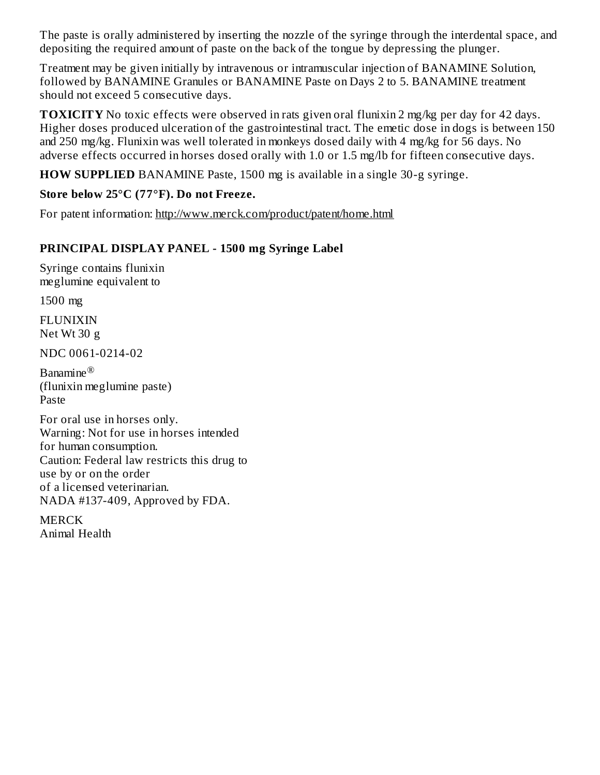The paste is orally administered by inserting the nozzle of the syringe through the interdental space, and depositing the required amount of paste on the back of the tongue by depressing the plunger.

Treatment may be given initially by intravenous or intramuscular injection of BANAMINE Solution, followed by BANAMINE Granules or BANAMINE Paste on Days 2 to 5. BANAMINE treatment should not exceed 5 consecutive days.

**TOXICITY** No toxic effects were observed in rats given oral flunixin 2 mg/kg per day for 42 days. Higher doses produced ulceration of the gastrointestinal tract. The emetic dose in dogs is between 150 and 250 mg/kg. Flunixin was well tolerated in monkeys dosed daily with 4 mg/kg for 56 days. No adverse effects occurred in horses dosed orally with 1.0 or 1.5 mg/lb for fifteen consecutive days.

**HOW SUPPLIED** BANAMINE Paste, 1500 mg is available in a single 30-g syringe.

## **Store below 25°C (77°F). Do not Freeze.**

For patent information: http://www.merck.com/product/patent/home.html

## **PRINCIPAL DISPLAY PANEL - 1500 mg Syringe Label**

Syringe contains flunixin meglumine equivalent to

1500 mg

FLUNIXIN Net Wt 30 g

NDC 0061-0214-02

Banamine ®(flunixin meglumine paste) Paste

For oral use in horses only. Warning: Not for use in horses intended for human consumption. Caution: Federal law restricts this drug to use by or on the order of a licensed veterinarian. NADA #137-409, Approved by FDA.

**MERCK** Animal Health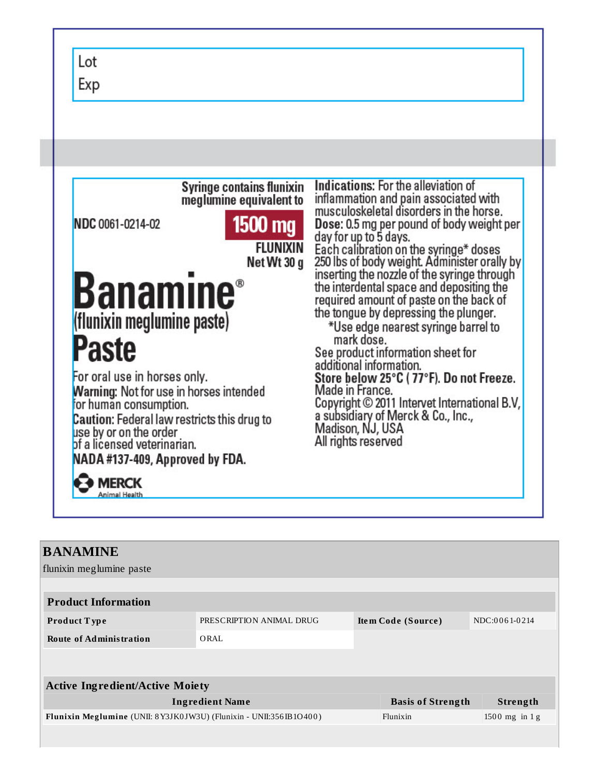Exp Indications: For the alleviation of **Syringe contains flunixin** inflammation and pain associated with meglumine equivalent to musculoskeletal disorders in the horse. 1500 mg Dose: 0.5 mg per pound of body weight per NDC 0061-0214-02 day for up to 5 days.<br>Each calibration on the syringe\* doses<br>250 lbs of body weight. Administer orally by<br>inserting the nozzle of the syringe through **FLUNIXIN** Net Wt 30 g **Banamine**® the interdental space and depositing the required amount of paste on the back of the tongue by depressing the plunger. (flunixin meglumine paste) \*Use edge nearest syringe barrel to mark dose. Paste See product information sheet for additional information. For oral use in horses only. Store below 25°C (77°F). Do not Freeze. **Warning: Not for use in horses intended** Made in France. Copyright © 2011 Intervet International B.V, for human consumption. a subsidiary of Merck & Co., Inc., **Caution:** Federal law restricts this drug to Madison, NJ, USA use by or on the order All rights reserved of a licensed veterinarian. NADA #137-409, Approved by FDA. **◆ MERCK** Animal Health

 $lot$ 

| <b>BANAMINE</b>                                                    |                          |  |                          |  |                  |  |  |
|--------------------------------------------------------------------|--------------------------|--|--------------------------|--|------------------|--|--|
| flunixin meglumine paste                                           |                          |  |                          |  |                  |  |  |
|                                                                    |                          |  |                          |  |                  |  |  |
| <b>Product Information</b>                                         |                          |  |                          |  |                  |  |  |
| <b>Product Type</b>                                                | PRESCRIPTION ANIMAL DRUG |  | Item Code (Source)       |  | NDC:0061-0214    |  |  |
| <b>Route of Administration</b>                                     | ORAL                     |  |                          |  |                  |  |  |
|                                                                    |                          |  |                          |  |                  |  |  |
|                                                                    |                          |  |                          |  |                  |  |  |
| <b>Active Ingredient/Active Moiety</b>                             |                          |  |                          |  |                  |  |  |
| <b>Ingredient Name</b>                                             |                          |  | <b>Basis of Strength</b> |  | Strength         |  |  |
| Flunixin Meglumine (UNII: 8Y3JK0JW3U) (Flunixin - UNII:356IB1O400) |                          |  | Flunixin                 |  | $1500$ mg in 1 g |  |  |
|                                                                    |                          |  |                          |  |                  |  |  |
|                                                                    |                          |  |                          |  |                  |  |  |